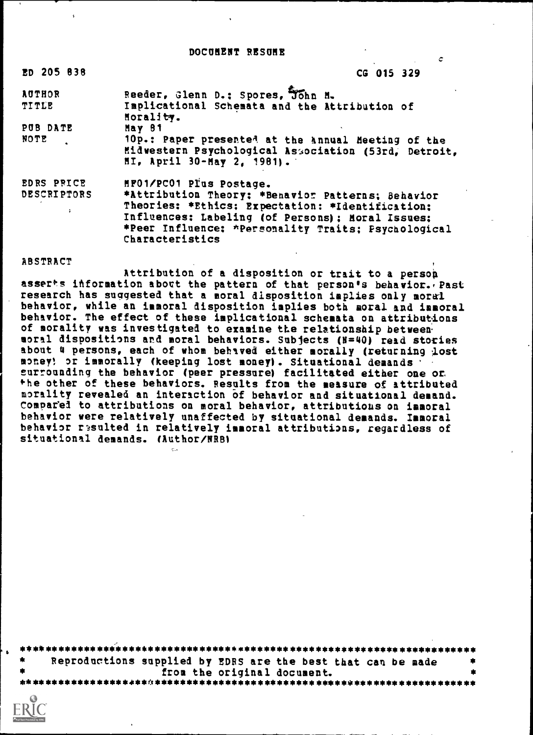#### DOCUMENT RESUME

ċ

| ED 205 838                                               | CG 015 329                                                                                                                                                                                                                                                     |
|----------------------------------------------------------|----------------------------------------------------------------------------------------------------------------------------------------------------------------------------------------------------------------------------------------------------------------|
| <b>AUTHOR</b><br><b>TITLE</b>                            | Reeder, Glenn D.: Spores, John M.<br>Implicational Schemata and the Attribution of<br>Horality.                                                                                                                                                                |
| PUB DATE<br>NOTE                                         | May 81<br>10p.: Paper presented at the Annual Meeting of the<br>Midwestern Psychological Association (53rd, Detroit,<br>HI, April 30-May 2, 1981).                                                                                                             |
| EDRS PRICE<br><b>DESCRIPTORS</b><br>$\ddot{\phantom{a}}$ | MF01/PC01 Plus Postage.<br>*Attribution Theory: *Benavior Patterns; Behavior<br>Theories: *Ethics: Expectation: *Identification:<br>Influences: Labeling (of Persons); Moral Issues;<br>*Peer Influence: *Personality Traits; Psychological<br>Characteristics |

#### **ABSTRACT**

Attribution of a disposition or trait to a person asserts information about the pattern of that person's behavior. Past research has suggested that a moral disposition implies only moral behavior, while an immoral disposition implies both moral and immoral behavior. The effect of these implicational schemata on attributions of morality was investigated to examine the relationship between moral dispositions and moral behaviors. Subjects (N=40) read stories about 4 persons, each of whom behaved either morally (returning lost money! or immorally (keeping lost money). Situational demands surrounding the behavior (peer pressure) facilitated either one or the other of these behaviors. Results from the measure of attributed morality revealed an interaction of behavior and situational demand. Compared to attributions on moral behavior, attributions on immoral behavior were relatively unaffected by situational demands. Immoral behavior resulted in relatively immoral attributions, regardless of situational demands. (Author/NRB)

| Reproductions supplied by EDRS are the best that can be made |  |                             |  | 帯 |
|--------------------------------------------------------------|--|-----------------------------|--|---|
|                                                              |  | from the original document. |  |   |
|                                                              |  |                             |  |   |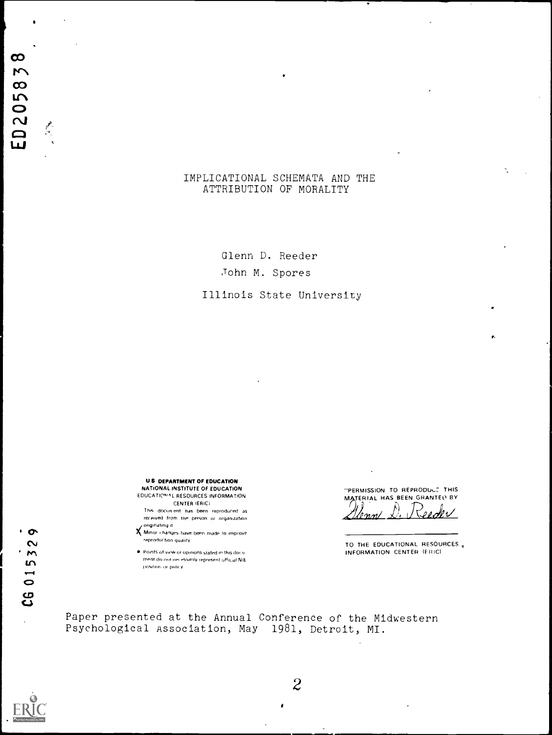$\begin{array}{c} \mathcal{P} \end{array}$ 

# IMPLICATIONAL SCHEMATA AND THE ATTRIBUTION OF MORALITY

Glenn D. Reeder John M. Spores

Illinois State University

**US DEPARTMENT OF EDUCATION** NATIONAL INSTITUTE OF EDUCATION EDUCATIONAL RESOURCES INFORMATION **CENTER (ERIC)** 

This docunient has been reproduced as received from the person or organization. originating it

X. Minor changes have been made to improve reproduction quality

Points of view or opinions stated in this document do not ner essarily represent official NIE position or policy.

"PERMISSION TO REPRODUCT THIS MATERIAL HAS BEEN GRANTED BY

Seder  $\n *10* m$ 

TO THE EDUCATIONAL RESOURCES, INFORMATION CENTER (FRIC)

Paper presented at the Annual Conference of the Midwestern Psychological Association, May 1981, Detroit, MI.

 $\bullet$ 

 $\sim$ 

 $\cdot$  m

CG 015<sub>3</sub>

 $\lambda$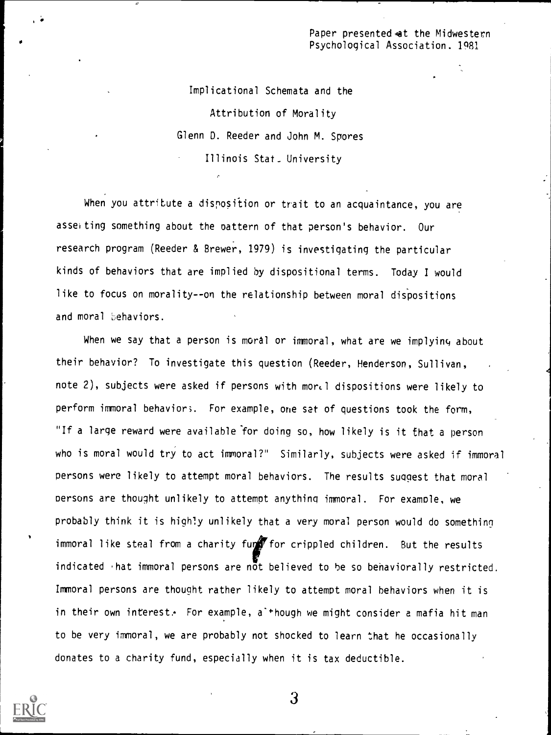Paper presented at the Midwestern Psychological Association. 1981

Implicational Schemata and the Attribution of Morality Glenn D. Reeder and John M. Spores Illinois Stat\_ University

When you attribute a disposition or trait to an acquaintance, you are asserting something about the pattern of that person's behavior. Our research program (Reeder & Brewer, 1979) is investigating the particular kinds of behaviors that are implied by dispositional terms. Today I would like to focus on morality--on the relationship between moral dispositions and moral behaviors.

When we say that a person is moral or immoral, what are we implying about their behavior? To investigate this question (Reeder, Henderson, Sullivan, note 2), subjects were asked if persons with mor. I dispositions were likely to perform immoral behavior;. For example, one sat of questions took the form, "If a large reward were available for doing so, how likely is it that a person who is moral would try to act immoral?" Similarly, subjects were asked if immoral persons were likely to attempt moral behaviors. The results suggest that moral persons are thought unlikely to attempt anything immoral. For example, we probably think it is highly unlikely that a very moral person would do something immoral like steal from a charity fur for crippled children. But the results indicated  *hat immoral persons are*  $n\bar{o}t$  *believed to be so behaviorally restricted.* Immoral persons are thought rather likely to attempt moral behaviors when it is in their own interest. For example, a' + hough we might consider a mafia hit man to be very immoral, we are probably not shocked to learn that he occasionally donates to a charity fund, especially when it is tax deductible.

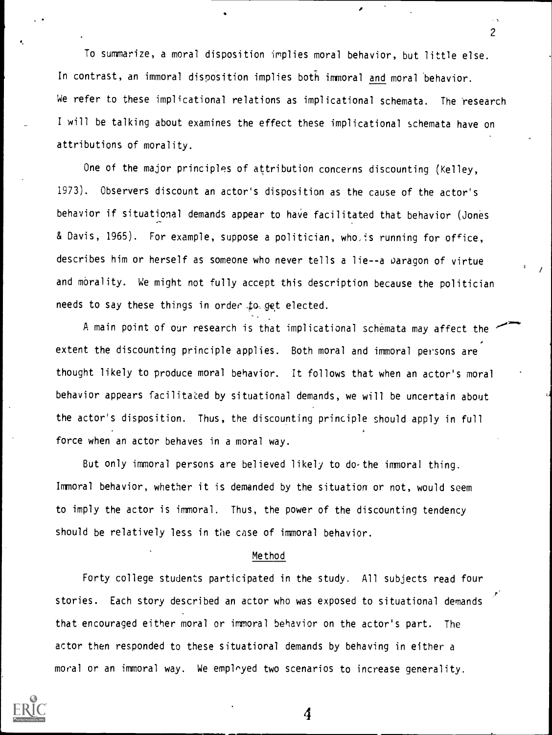To summarize, a moral disposition implies moral behavior, but little else. In contrast, an immoral disposition implies both immoral and moral 'behavior. We refer to these implicational relations as implicational schemata. The research I will be talking about examines the effect these implicational schemata have on attributions of morality.

One of the major principles of attribution concerns discounting (Kelley, 1973). Observers discount an actor's disposition as the cause of the actor's behavior if situational demands appear to have facilitated that behavior (Jones & Davis, 1965). For example, suppose a politician, who is running for office, describes him or herself as someone who never tells a lie--a oaragon of virtue and morality. We might not fully accept this description because the politician needs to say these things in order to get elected.

A main point of our research is that implicational schemata may affect the extent the discounting principle applies. Both moral and immoral persons are thought likely to produce moral behavior. It follows that when an actor's moral behavior appears facilitated by situational demands, we will be uncertain about the actor's disposition. Thus, the discounting principle should apply in full force when an actor behaves in a moral way.

But only immoral persons are believed likely to do-the immoral thing. Immoral behavior, whether it is demanded by the situation or not, would seem to imply the actor is immoral. Thus, the power of the discounting tendency should be relatively less in the case of immoral behavior.

#### Method

Forty college students participated in the study. All subjects read four stories. Each story described an actor who was exposed to situational demands that encouraged either moral or immoral behavior on the actor's part. The actor then responded to these situational demands by behaving in either a moral or an immoral way. We employed two scenarios to increase generality.

4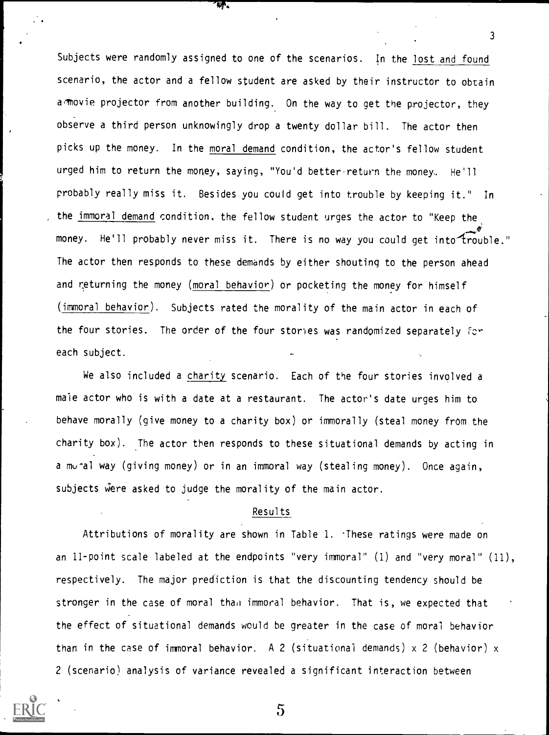Subjects were randomly assigned to one of the scenarios. In the lost and found scenario, the actor and a fellow student are asked by their instructor to obtain a movie projector from another building. On the way to get the projector, they observe a third person unknowingly drop a twenty dollar bill. The actor then picks up the money. In the moral demand condition, the actor's fellow student urged him to return the money, saying, "You'd better return the money. He'll probably really miss it. Besides you could get into trouble by keeping it." In the immoral demand condition. the fellow student urges the actor to "Keep the money. He'll probably never miss it. There is no way you could get into trouble." The actor then responds to these demands by either shouting to the person ahead and returning the money (moral behavior) or pocketing the money for himself (immoral behavior). Subjects rated the morality of the main actor in each of the four stories. The order of the four stories was randomized separately for each subject.

¢ŗ.

We also included a charity scenario. Each of the four stories involved a male actor who is with a date at a restaurant. The actor's date urges him to behave morally (give money to a charity box) or immorally (steal money from the charity box). The actor then responds to these situational demands by acting in a mu-al way (giving money) or in an immoral way (stealing money). Once again, subjects were asked to judge the morality of the main actor.

# Results

Attributions of morality are shown in Table 1. These ratings were made on an 11-point scale labeled at the endpoints "very immoral" (1) and "very moral" (11), respectively. The major prediction is that the discounting tendency should be stronger in the case of moral thad immoral behavior. That is, we expected that the effect of situational demands would be greater in the case of moral behavior than in the case of immoral behavior. A 2 (situational demands)  $\times$  2 (behavior)  $\times$ 2 (scenario) analysis of variance revealed a significant interaction between



5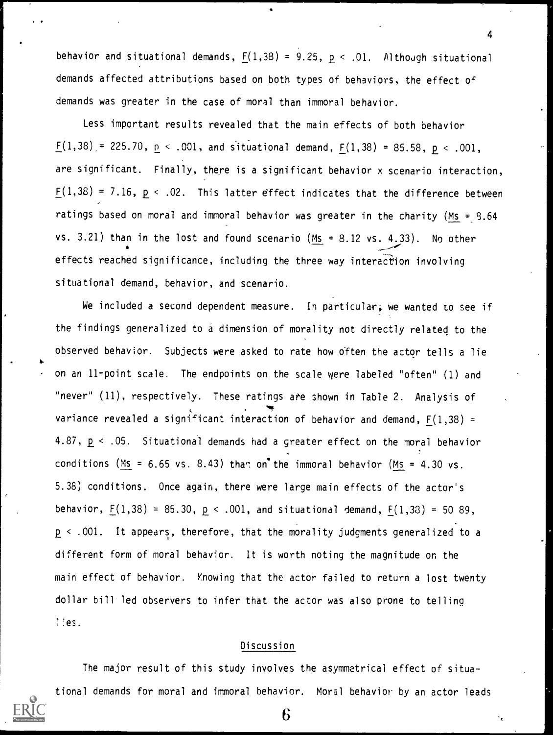behavior and situational demands,  $F(1,38) = 9.25$ ,  $p < .01$ . Although situational demands affected attributions based on both types of behaviors, the effect of demands was greater in the case of moral than immoral behavior.

4

۰,

Less important results revealed that the main effects of both behavior  $F(1,38) = 225.70$ ,  $p < .001$ , and situational demand,  $F(1,38) = 85.58$ ,  $p < .001$ , are significant. Finally, there is a significant behavior x scenario interaction,  $F(1,38) = 7.16$ ,  $p \le .02$ . This latter effect indicates that the difference between ratings based on moral and immoral behavior was greater in the charity (Ms =  $9.64$ vs. 3.21) than in the lost and found scenario  $(Ms = 8.12$  vs. 4.33). No other effects reached significance, including the three way interaction involving situational demand, behavior, and scenario.

We included a second dependent measure. In particular, we wanted to see if the findings generalized to a dimension of morality not directly related to the observed behavior. Subjects were asked to rate how often the actor tells a lie on an 11-point scale. The endpoints on the scale were labeled "often" (1) and "never" (11), respectively. These ratings ate shown in Table 2. Analysis of variance revealed a significant interaction of behavior and demand,  $F(1,38)$  = 4.87, p < .05. Situational demands had a greater effect on the moral behavior conditions (Ms = 6.65 vs. 8.43) than on the immoral behavior (Ms = 4.30 vs. 5.38) conditions. Once again, there were large main effects of the actor's behavior,  $F(1,38) = 85.30$ ,  $p < .001$ , and situational demand,  $F(1,33) = 50.89$ , < .001. It appears, therefore, that the morality judgments generalized to a different form of moral behavior. It is worth noting the magnitude on the main effect of behavior. Knowing that the actor failed to return a lost twenty dollar bill led observers to infer that the actor was also prone to telling 1:es.

## Discussion

The major result of this study involves the asymmetrical effect of situational demands for moral and immoral behavior. Moral behavior by an actor leads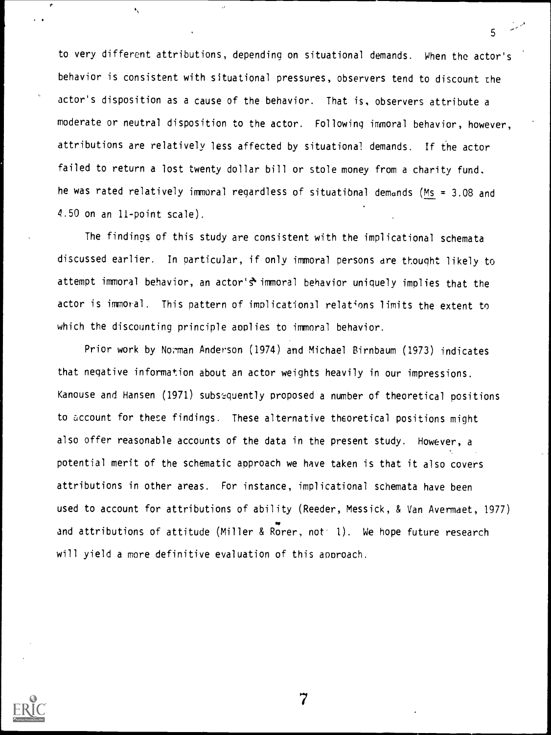to very different attributions, depending on situational demands. When the actor's behavior is consistent with situational pressures, observers tend to discount the actor's disposition as a cause of the behavior. That is, observers attribute a moderate or neutral disposition to the actor. Following immoral behavior, however, attributions are relatively less affected by situational demands. If the actor failed to return a lost twenty dollar bill or stole money from a charity fund. he was rated relatively immoral regardless of situational demands (Ms = 3.08 and 4.50 on an 11-point scale).

5

The findings of this study are consistent with the implicational schemata discussed earlier. In Particular, if only immoral persons are thought likely to attempt immoral behavior, an actor's immoral behavior uniquely implies that the actor is immoral. This pattern of implicational relations limits the extent to which the discounting principle applies to immoral behavior.

Prior work by Norman Anderson (1974) and Michael Birnbaum (1973) indicates that negative information about an actor weights heavily in our impressions. Kanouse and Hansen (1971) subsequently proposed a number of theoretical positions to account for these findings. These alternative theoretical positions might also offer reasonable accounts of the data in the present study. However, a potential merit of the schematic approach we have taken is that it also covers attributions in other areas. For instance, implicational schemata have been used to account for attributions of ability (Reeder, Messick, & Van Avermaet, 1977) w and attributions of attitude (Miller & Rorer, not 1). We hope future research will yield a more definitive evaluation of this approach.

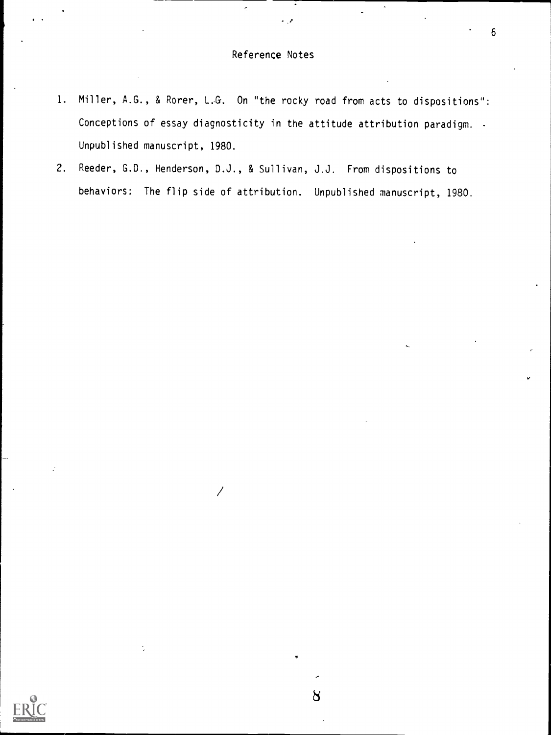$\mathbf{r}$ 

- 1. Miller, A.G., & Rorer, L.G. On "the rocky road from acts to dispositions": Conceptions of essay diagnosticity in the attitude attribution paradigm. . Unpublished manuscript, 1980.
- 2. Reeder, G.D., Henderson, D.J., & Sullivan, J.J. From dispositions to behaviors: The flip side of attribution. Unpublished manuscript, 1980.

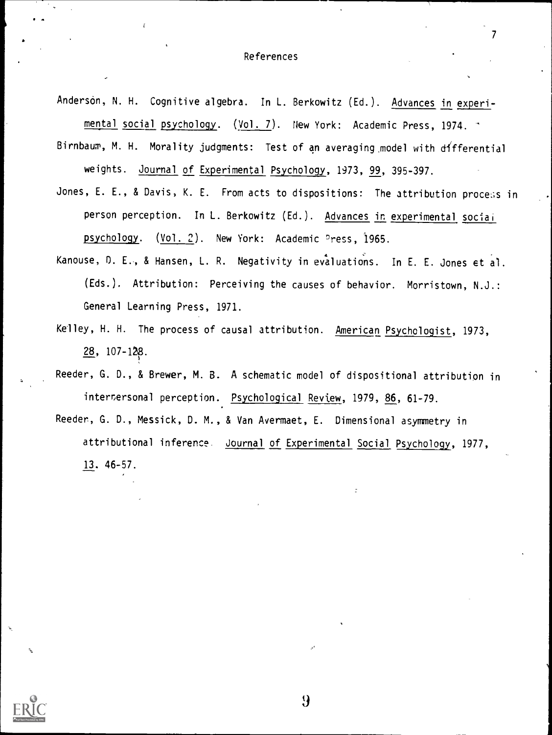### References

- Anderson, N. H. Cognitive algebra. In L. Berkowitz (Ed.). Advances in experimental social psychology. (Vol. 7). New York: Academic Press, 1974.
- Birnbaum, M. H. Morality judgments: Test of an averaging model with differential weights. Journal of Experimental Psychology, 1973, 99, 395-397.
- Jones, E. E., & Davis, K. E. From acts to dispositions: The attribution process in person perception. In L. Berkowitz (Ed.). Advances in experimental sociai psychology. (Vol. 2). New York: Academic Press, 1965.
- Kanouse, D. E., & Hansen, L. R. Negativity in evaluations. In E. E. Jones et al. (Eds.). Attribution: Perceiving the causes of behavior. Morristown, N.J.: General Learning Press, 1971.
- Kelley, H. H. The process of causal attribution. American Psychologist, 1973, 28, 107-128.
- Reeder, G. D., & Brewer, M. B. A schematic model of dispositional attribution in intertersonal perception. Psychological Review, 1979, 86, 61-79.
- Reeder, G. D., Messick, D. M., & Van Avermaet, E. Dimensional asymmetry in attributional inference. Journal of Experimental Social Psychology, 1977, 13. 46-57.